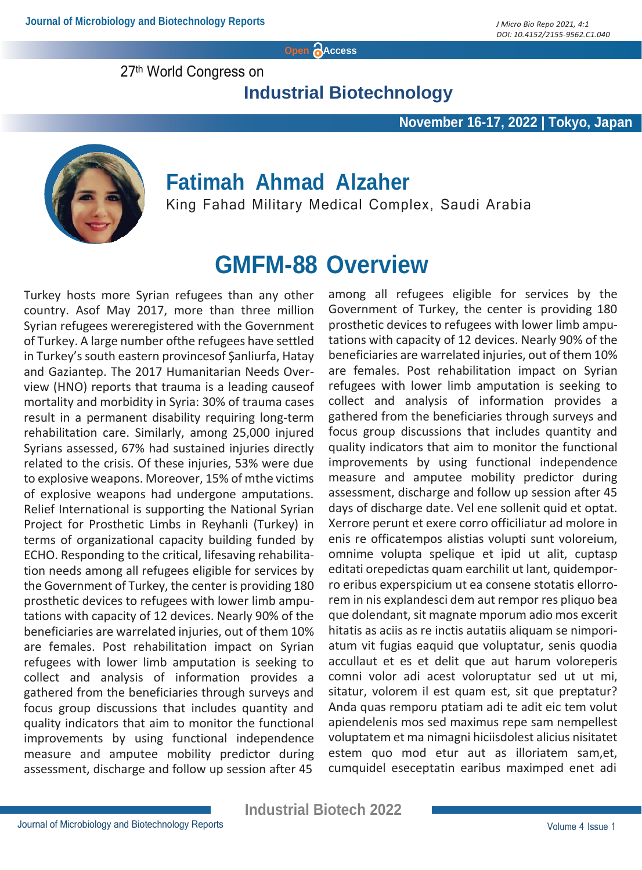**Open Access**

27th World Congress on

**Industrial Biotechnology**

#### **November 16-17, 2022 | Tokyo, Japan**



### **Fatimah Ahmad Alzaher**

King Fahad Military Medical Complex, Saudi Arabia

## **GMFM-88 Overview**

Turkey hosts more Syrian refugees than any other country. Asof May 2017, more than three million Syrian refugees wereregistered with the Government of Turkey. A large number ofthe refugees have settled in Turkey's south eastern provincesof Şanliurfa, Hatay and Gaziantep. The 2017 Humanitarian Needs Overview (HNO) reports that trauma is a leading causeof mortality and morbidity in Syria: 30% of trauma cases result in a permanent disability requiring long-term rehabilitation care. Similarly, among 25,000 injured Syrians assessed, 67% had sustained injuries directly related to the crisis. Of these injuries, 53% were due to explosive weapons. Moreover, 15% of mthe victims of explosive weapons had undergone amputations. Relief International is supporting the National Syrian Project for Prosthetic Limbs in Reyhanli (Turkey) in terms of organizational capacity building funded by ECHO. Responding to the critical, lifesaving rehabilitation needs among all refugees eligible for services by the Government of Turkey, the center is providing 180 prosthetic devices to refugees with lower limb amputations with capacity of 12 devices. Nearly 90% of the beneficiaries are warrelated injuries, out of them 10% are females. Post rehabilitation impact on Syrian refugees with lower limb amputation is seeking to collect and analysis of information provides a gathered from the beneficiaries through surveys and focus group discussions that includes quantity and quality indicators that aim to monitor the functional improvements by using functional independence measure and amputee mobility predictor during assessment, discharge and follow up session after 45

among all refugees eligible for services by the Government of Turkey, the center is providing 180 prosthetic devices to refugees with lower limb amputations with capacity of 12 devices. Nearly 90% of the beneficiaries are warrelated injuries, out of them 10% are females. Post rehabilitation impact on Syrian refugees with lower limb amputation is seeking to collect and analysis of information provides a gathered from the beneficiaries through surveys and focus group discussions that includes quantity and quality indicators that aim to monitor the functional improvements by using functional independence measure and amputee mobility predictor during assessment, discharge and follow up session after 45 days of discharge date. Vel ene sollenit quid et optat. Xerrore perunt et exere corro officiliatur ad molore in enis re officatempos alistias volupti sunt voloreium, omnime volupta spelique et ipid ut alit, cuptasp editati orepedictas quam earchilit ut lant, quidemporro eribus experspicium ut ea consene stotatis ellorrorem in nis explandesci dem aut rempor res pliquo bea que dolendant, sit magnate mporum adio mos excerit hitatis as aciis as re inctis autatiis aliquam se nimporiatum vit fugias eaquid que voluptatur, senis quodia accullaut et es et delit que aut harum voloreperis comni volor adi acest voloruptatur sed ut ut mi, sitatur, volorem il est quam est, sit que preptatur? Anda quas remporu ptatiam adi te adit eic tem volut apiendelenis mos sed maximus repe sam nempellest voluptatem et ma nimagni hiciisdolest alicius nisitatet estem quo mod etur aut as illoriatem sam,et, cumquidel eseceptatin earibus maximped enet adi